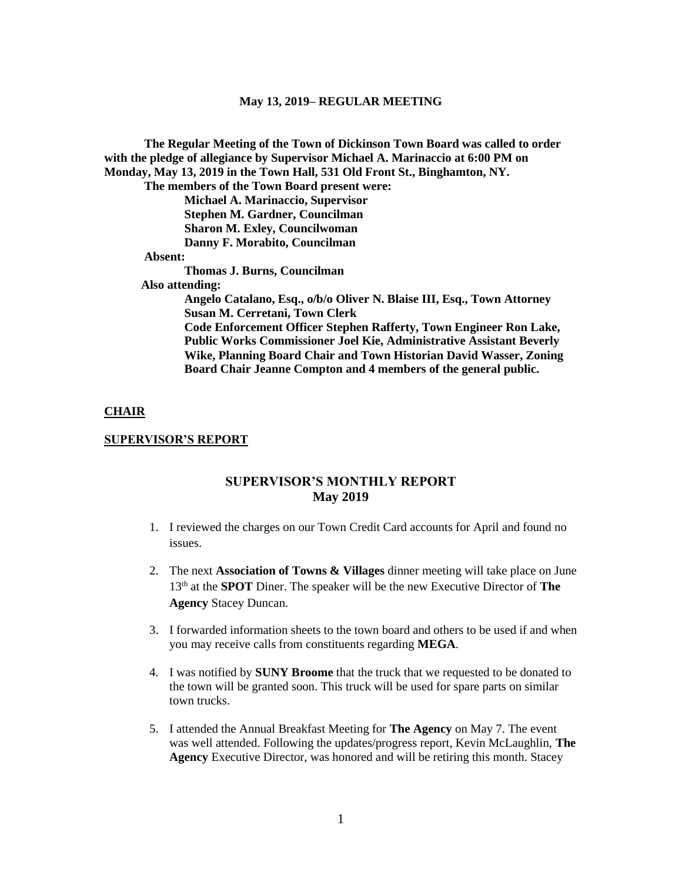**The Regular Meeting of the Town of Dickinson Town Board was called to order with the pledge of allegiance by Supervisor Michael A. Marinaccio at 6:00 PM on Monday, May 13, 2019 in the Town Hall, 531 Old Front St., Binghamton, NY. The members of the Town Board present were: Michael A. Marinaccio, Supervisor Stephen M. Gardner, Councilman Sharon M. Exley, Councilwoman Danny F. Morabito, Councilman Absent: Thomas J. Burns, Councilman Also attending: Angelo Catalano, Esq., o/b/o Oliver N. Blaise III, Esq., Town Attorney Susan M. Cerretani, Town Clerk Code Enforcement Officer Stephen Rafferty, Town Engineer Ron Lake, Public Works Commissioner Joel Kie, Administrative Assistant Beverly Wike, Planning Board Chair and Town Historian David Wasser, Zoning Board Chair Jeanne Compton and 4 members of the general public.**

### **CHAIR**

### **SUPERVISOR'S REPORT**

## **SUPERVISOR'S MONTHLY REPORT May 2019**

- 1. I reviewed the charges on our Town Credit Card accounts for April and found no issues.
- 2. The next **Association of Towns & Villages** dinner meeting will take place on June 13th at the **SPOT** Diner. The speaker will be the new Executive Director of **The Agency** Stacey Duncan.
- 3. I forwarded information sheets to the town board and others to be used if and when you may receive calls from constituents regarding **MEGA**.
- 4. I was notified by **SUNY Broome** that the truck that we requested to be donated to the town will be granted soon. This truck will be used for spare parts on similar town trucks.
- 5. I attended the Annual Breakfast Meeting for **The Agency** on May 7. The event was well attended. Following the updates/progress report, Kevin McLaughlin, **The Agency** Executive Director, was honored and will be retiring this month. Stacey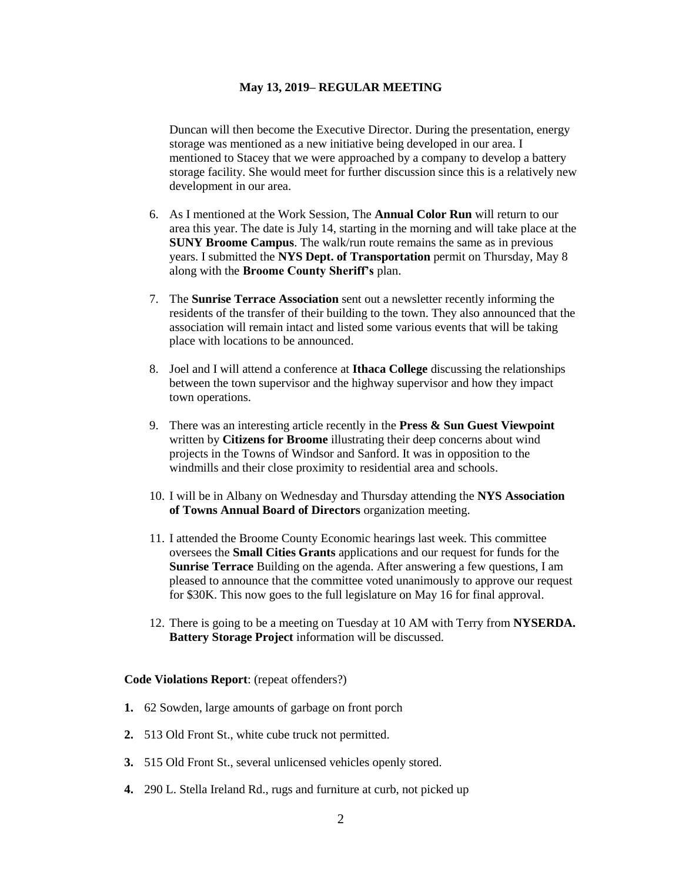Duncan will then become the Executive Director. During the presentation, energy storage was mentioned as a new initiative being developed in our area. I mentioned to Stacey that we were approached by a company to develop a battery storage facility. She would meet for further discussion since this is a relatively new development in our area.

- 6. As I mentioned at the Work Session, The **Annual Color Run** will return to our area this year. The date is July 14, starting in the morning and will take place at the **SUNY Broome Campus**. The walk/run route remains the same as in previous years. I submitted the **NYS Dept. of Transportation** permit on Thursday, May 8 along with the **Broome County Sheriff's** plan.
- 7. The **Sunrise Terrace Association** sent out a newsletter recently informing the residents of the transfer of their building to the town. They also announced that the association will remain intact and listed some various events that will be taking place with locations to be announced.
- 8. Joel and I will attend a conference at **Ithaca College** discussing the relationships between the town supervisor and the highway supervisor and how they impact town operations.
- 9. There was an interesting article recently in the **Press & Sun Guest Viewpoint** written by **Citizens for Broome** illustrating their deep concerns about wind projects in the Towns of Windsor and Sanford. It was in opposition to the windmills and their close proximity to residential area and schools.
- 10. I will be in Albany on Wednesday and Thursday attending the **NYS Association of Towns Annual Board of Directors** organization meeting.
- 11. I attended the Broome County Economic hearings last week. This committee oversees the **Small Cities Grants** applications and our request for funds for the **Sunrise Terrace** Building on the agenda. After answering a few questions, I am pleased to announce that the committee voted unanimously to approve our request for \$30K. This now goes to the full legislature on May 16 for final approval.
- 12. There is going to be a meeting on Tuesday at 10 AM with Terry from **NYSERDA. Battery Storage Project** information will be discussed.

#### **Code Violations Report**: (repeat offenders?)

- **1.** 62 Sowden, large amounts of garbage on front porch
- **2.** 513 Old Front St., white cube truck not permitted.
- **3.** 515 Old Front St., several unlicensed vehicles openly stored.
- **4.** 290 L. Stella Ireland Rd., rugs and furniture at curb, not picked up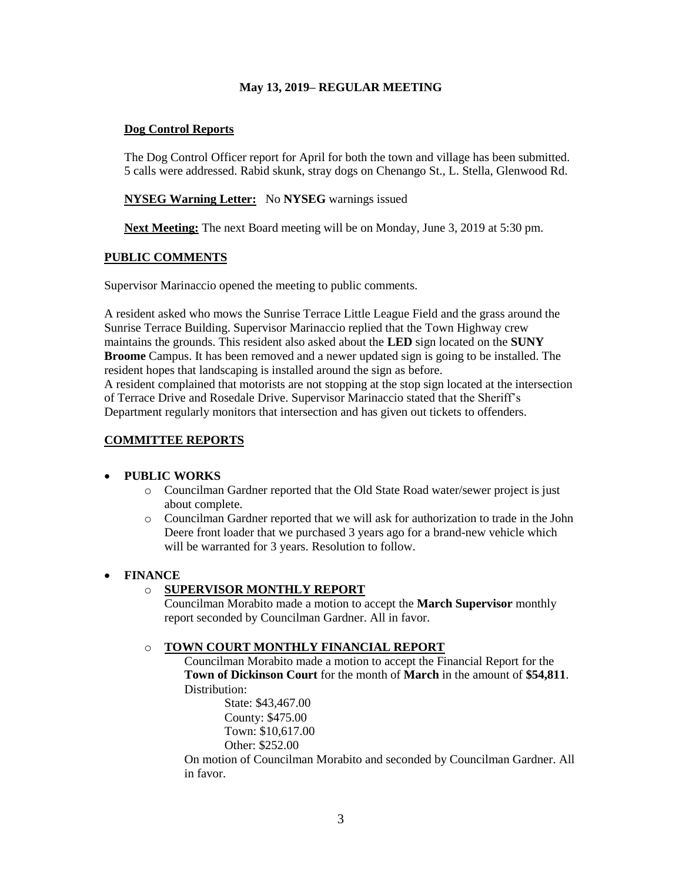# **Dog Control Reports**

The Dog Control Officer report for April for both the town and village has been submitted. 5 calls were addressed. Rabid skunk, stray dogs on Chenango St., L. Stella, Glenwood Rd.

# **NYSEG Warning Letter:** No **NYSEG** warnings issued

**Next Meeting:** The next Board meeting will be on Monday, June 3, 2019 at 5:30 pm.

## **PUBLIC COMMENTS**

Supervisor Marinaccio opened the meeting to public comments.

A resident asked who mows the Sunrise Terrace Little League Field and the grass around the Sunrise Terrace Building. Supervisor Marinaccio replied that the Town Highway crew maintains the grounds. This resident also asked about the **LED** sign located on the **SUNY Broome** Campus. It has been removed and a newer updated sign is going to be installed. The resident hopes that landscaping is installed around the sign as before. A resident complained that motorists are not stopping at the stop sign located at the intersection

of Terrace Drive and Rosedale Drive. Supervisor Marinaccio stated that the Sheriff's Department regularly monitors that intersection and has given out tickets to offenders.

## **COMMITTEE REPORTS**

### • **PUBLIC WORKS**

- o Councilman Gardner reported that the Old State Road water/sewer project is just about complete.
- o Councilman Gardner reported that we will ask for authorization to trade in the John Deere front loader that we purchased 3 years ago for a brand-new vehicle which will be warranted for 3 years. Resolution to follow.

# • **FINANCE**

# o **SUPERVISOR MONTHLY REPORT**

Councilman Morabito made a motion to accept the **March Supervisor** monthly report seconded by Councilman Gardner. All in favor.

# o **TOWN COURT MONTHLY FINANCIAL REPORT**

Councilman Morabito made a motion to accept the Financial Report for the **Town of Dickinson Court** for the month of **March** in the amount of **\$54,811**. Distribution:

> State: \$43,467.00 County: \$475.00 Town: \$10,617.00 Other: \$252.00

On motion of Councilman Morabito and seconded by Councilman Gardner. All in favor.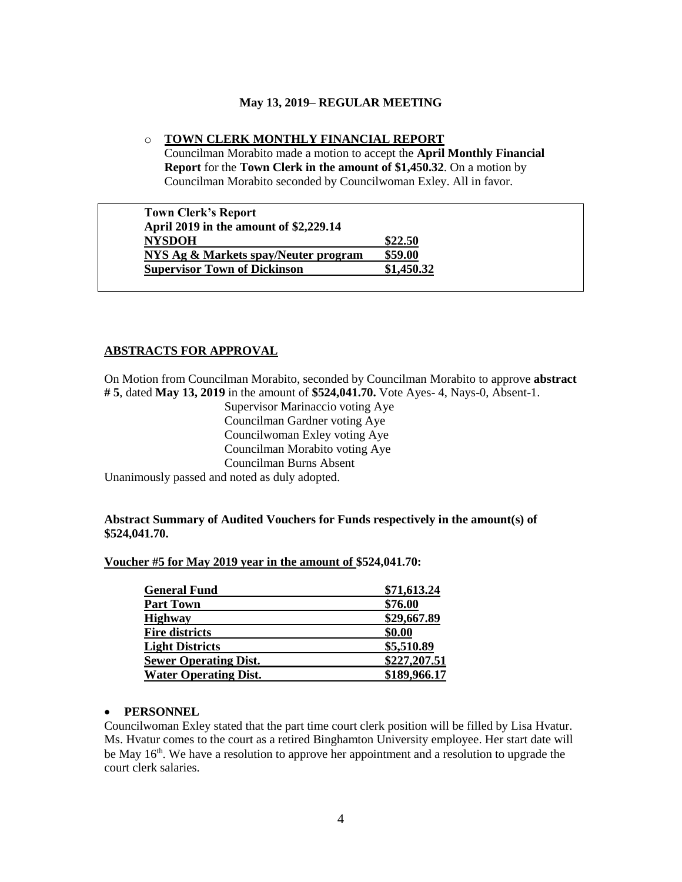### o **TOWN CLERK MONTHLY FINANCIAL REPORT**

Councilman Morabito made a motion to accept the **April Monthly Financial Report** for the **Town Clerk in the amount of \$1,450.32**. On a motion by Councilman Morabito seconded by Councilwoman Exley. All in favor.

| \$22.50    |
|------------|
| \$59.00    |
| \$1,450.32 |
|            |

## **ABSTRACTS FOR APPROVAL**

On Motion from Councilman Morabito, seconded by Councilman Morabito to approve **abstract # 5**, dated **May 13, 2019** in the amount of **\$524,041.70.** Vote Ayes- 4, Nays-0, Absent-1.

> Supervisor Marinaccio voting Aye Councilman Gardner voting Aye Councilwoman Exley voting Aye Councilman Morabito voting Aye Councilman Burns Absent

Unanimously passed and noted as duly adopted.

## **Abstract Summary of Audited Vouchers for Funds respectively in the amount(s) of \$524,041.70.**

### **Voucher #5 for May 2019 year in the amount of \$524,041.70:**

| <b>General Fund</b>          | \$71,613.24  |
|------------------------------|--------------|
| <b>Part Town</b>             | \$76.00      |
| <b>Highway</b>               | \$29,667.89  |
| <b>Fire districts</b>        | \$0.00       |
| <b>Light Districts</b>       | \$5,510.89   |
| <b>Sewer Operating Dist.</b> | \$227,207.51 |
| <b>Water Operating Dist.</b> | \$189,966.17 |

## • **PERSONNEL**

Councilwoman Exley stated that the part time court clerk position will be filled by Lisa Hvatur. Ms. Hvatur comes to the court as a retired Binghamton University employee. Her start date will be May  $16<sup>th</sup>$ . We have a resolution to approve her appointment and a resolution to upgrade the court clerk salaries.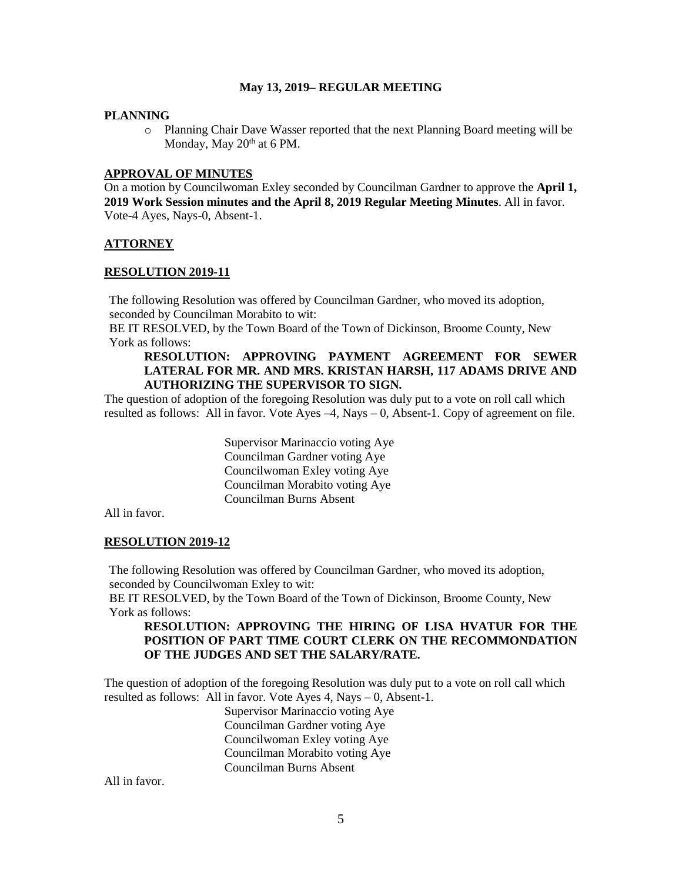### **PLANNING**

o Planning Chair Dave Wasser reported that the next Planning Board meeting will be Monday, May  $20<sup>th</sup>$  at 6 PM.

# **APPROVAL OF MINUTES**

On a motion by Councilwoman Exley seconded by Councilman Gardner to approve the **April 1, 2019 Work Session minutes and the April 8, 2019 Regular Meeting Minutes**. All in favor. Vote-4 Ayes, Nays-0, Absent-1.

# **ATTORNEY**

## **RESOLUTION 2019-11**

The following Resolution was offered by Councilman Gardner, who moved its adoption, seconded by Councilman Morabito to wit:

BE IT RESOLVED, by the Town Board of the Town of Dickinson, Broome County, New York as follows:

## **RESOLUTION: APPROVING PAYMENT AGREEMENT FOR SEWER LATERAL FOR MR. AND MRS. KRISTAN HARSH, 117 ADAMS DRIVE AND AUTHORIZING THE SUPERVISOR TO SIGN.**

The question of adoption of the foregoing Resolution was duly put to a vote on roll call which resulted as follows: All in favor. Vote Ayes –4, Nays – 0, Absent-1. Copy of agreement on file.

> Supervisor Marinaccio voting Aye Councilman Gardner voting Aye Councilwoman Exley voting Aye Councilman Morabito voting Aye Councilman Burns Absent

All in favor.

# **RESOLUTION 2019-12**

The following Resolution was offered by Councilman Gardner, who moved its adoption, seconded by Councilwoman Exley to wit:

BE IT RESOLVED, by the Town Board of the Town of Dickinson, Broome County, New York as follows:

# **RESOLUTION: APPROVING THE HIRING OF LISA HVATUR FOR THE POSITION OF PART TIME COURT CLERK ON THE RECOMMONDATION OF THE JUDGES AND SET THE SALARY/RATE.**

The question of adoption of the foregoing Resolution was duly put to a vote on roll call which resulted as follows: All in favor. Vote Ayes 4, Nays – 0, Absent-1.

Supervisor Marinaccio voting Aye Councilman Gardner voting Aye Councilwoman Exley voting Aye Councilman Morabito voting Aye Councilman Burns Absent

All in favor.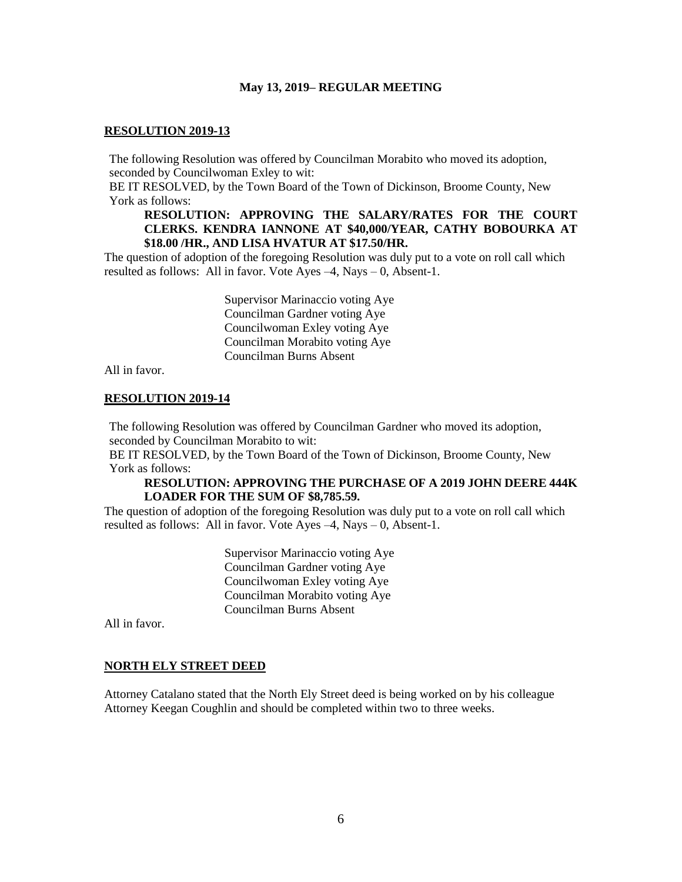#### **RESOLUTION 2019-13**

The following Resolution was offered by Councilman Morabito who moved its adoption, seconded by Councilwoman Exley to wit:

BE IT RESOLVED, by the Town Board of the Town of Dickinson, Broome County, New York as follows:

# **RESOLUTION: APPROVING THE SALARY/RATES FOR THE COURT CLERKS. KENDRA IANNONE AT \$40,000/YEAR, CATHY BOBOURKA AT \$18.00 /HR., AND LISA HVATUR AT \$17.50/HR.**

The question of adoption of the foregoing Resolution was duly put to a vote on roll call which resulted as follows: All in favor. Vote Ayes  $-4$ , Nays  $-0$ , Absent-1.

> Supervisor Marinaccio voting Aye Councilman Gardner voting Aye Councilwoman Exley voting Aye Councilman Morabito voting Aye Councilman Burns Absent

All in favor.

## **RESOLUTION 2019-14**

The following Resolution was offered by Councilman Gardner who moved its adoption, seconded by Councilman Morabito to wit:

BE IT RESOLVED, by the Town Board of the Town of Dickinson, Broome County, New York as follows:

### **RESOLUTION: APPROVING THE PURCHASE OF A 2019 JOHN DEERE 444K LOADER FOR THE SUM OF \$8,785.59.**

The question of adoption of the foregoing Resolution was duly put to a vote on roll call which resulted as follows: All in favor. Vote Ayes  $-4$ , Nays  $-0$ , Absent-1.

> Supervisor Marinaccio voting Aye Councilman Gardner voting Aye Councilwoman Exley voting Aye Councilman Morabito voting Aye Councilman Burns Absent

All in favor.

#### **NORTH ELY STREET DEED**

Attorney Catalano stated that the North Ely Street deed is being worked on by his colleague Attorney Keegan Coughlin and should be completed within two to three weeks.